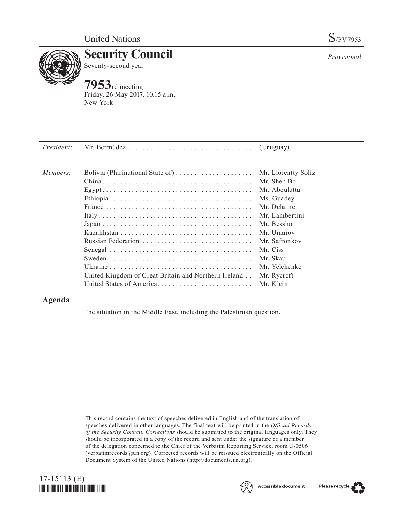

**Security Council** Seventy-second year

## **7953**rd meeting

Friday, 26 May 2017, 10.15 a.m. New York

| President: |                                                      | (Uruguay)           |
|------------|------------------------------------------------------|---------------------|
| Members:   | Bolivia (Plurinational State of)                     | Mr. Llorentty Solíz |
|            |                                                      | Mr. Shen Bo         |
|            |                                                      | Mr. Aboulatta       |
|            |                                                      | Ms. Guadey          |
|            |                                                      | Mr. Delattre        |
|            |                                                      | Mr. Lambertini      |
|            |                                                      | Mr. Bessho          |
|            |                                                      | Mr. Umarov          |
|            |                                                      | Mr. Safronkov       |
|            |                                                      | Mr. Ciss            |
|            |                                                      | Mr. Skau            |
|            |                                                      | Mr. Yelchenko       |
|            | United Kingdom of Great Britain and Northern Ireland | Mr. Rycroft         |
|            | United States of America                             | Mr. Klein           |

## **Agenda**

The situation in the Middle East, including the Palestinian question.

This record contains the text of speeches delivered in English and of the translation of speeches delivered in other languages. The final text will be printed in the *Official Records of the Security Council. Corrections* should be submitted to the original languages only. They should be incorporated in a copy of the record and sent under the signature of a member of the delegation concerned to the Chief of the Verbatim Reporting Service, room U-0506 (verbatimrecords $@un.org$ ). Corrected records will be reissued electronically on the Official Document System of the United Nations [\(http://documents.un.org\)](http://documents.un.org).







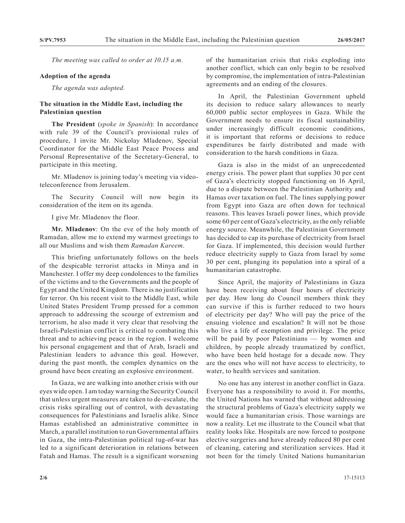*The meeting was called to order at 10.15 a.m.*

## **Adoption of the agenda**

*The agenda was adopted.*

## **The situation in the Middle East, including the Palestinian question**

**The President** (*spoke in Spanish*): In accordance with rule 39 of the Council's provisional rules of procedure, I invite Mr. Nickolay Mladenov, Special Coordinator for the Middle East Peace Process and Personal Representative of the Secretary-General, to participate in this meeting.

Mr. Mladenov is joining today's meeting via videoteleconference from Jerusalem.

The Security Council will now begin its consideration of the item on its agenda.

I give Mr. Mladenov the floor.

**Mr. Mladenov**: On the eve of the holy month of Ramadan, allow me to extend my warmest greetings to all our Muslims and wish them *Ramadan Kareem*.

This briefing unfortunately follows on the heels of the despicable terrorist attacks in Minya and in Manchester. I offer my deep condolences to the families of the victims and to the Governments and the people of Egypt and the United Kingdom. There is no justification for terror. On his recent visit to the Middle East, while United States President Trump pressed for a common approach to addressing the scourge of extremism and terrorism, he also made it very clear that resolving the Israeli-Palestinian conflict is critical to combating this threat and to achieving peace in the region. I welcome his personal engagement and that of Arab, Israeli and Palestinian leaders to advance this goal. However, during the past month, the complex dynamics on the ground have been creating an explosive environment.

In Gaza, we are walking into another crisis with our eyes wide open. I am today warning the Security Council that unless urgent measures are taken to de-escalate, the crisis risks spiralling out of control, with devastating consequences for Palestinians and Israelis alike. Since Hamas established an administrative committee in March, a parallel institution to run Governmental affairs in Gaza, the intra-Palestinian political tug-of-war has led to a significant deterioration in relations between Fatah and Hamas. The result is a significant worsening

of the humanitarian crisis that risks exploding into another conflict, which can only begin to be resolved by compromise, the implementation of intra-Palestinian agreements and an ending of the closures.

In April, the Palestinian Government upheld its decision to reduce salary allowances to nearly 60,000 public sector employees in Gaza. While the Government needs to ensure its fiscal sustainability under increasingly difficult economic conditions, it is important that reforms or decisions to reduce expenditures be fairly distributed and made with consideration to the harsh conditions in Gaza.

Gaza is also in the midst of an unprecedented energy crisis. The power plant that supplies 30 per cent of Gaza's electricity stopped functioning on 16 April, due to a dispute between the Palestinian Authority and Hamas over taxation on fuel. The lines supplying power from Egypt into Gaza are often down for technical reasons. This leaves Israeli power lines, which provide some 60 per cent of Gaza's electricity, as the only reliable energy source. Meanwhile, the Palestinian Government has decided to cap its purchase of electricity from Israel for Gaza. If implemented, this decision would further reduce electricity supply to Gaza from Israel by some 30 per cent, plunging its population into a spiral of a humanitarian catastrophe.

Since April, the majority of Palestinians in Gaza have been receiving about four hours of electricity per day. How long do Council members think they can survive if this is further reduced to two hours of electricity per day? Who will pay the price of the ensuing violence and escalation? It will not be those who live a life of exemption and privilege. The price will be paid by poor Palestinians — by women and children, by people already traumatized by conflict, who have been held hostage for a decade now. They are the ones who will not have access to electricity, to water, to health services and sanitation.

No one has any interest in another conflict in Gaza. Everyone has a responsibility to avoid it. For months, the United Nations has warned that without addressing the structural problems of Gaza's electricity supply we would face a humanitarian crisis. Those warnings are now a reality. Let me illustrate to the Council what that reality looks like. Hospitals are now forced to postpone elective surgeries and have already reduced 80 per cent of cleaning, catering and sterilization services. Had it not been for the timely United Nations humanitarian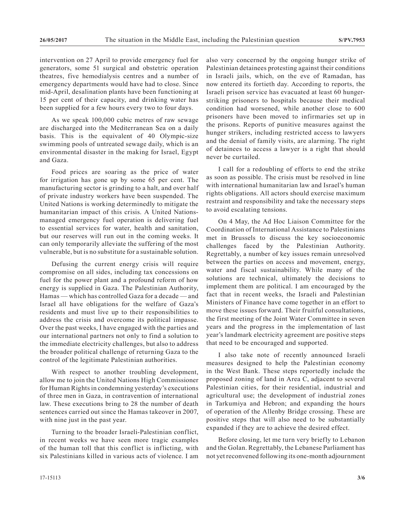intervention on 27 April to provide emergency fuel for generators, some 51 surgical and obstetric operation theatres, five hemodialysis centres and a number of emergency departments would have had to close. Since mid-April, desalination plants have been functioning at 15 per cent of their capacity, and drinking water has been supplied for a few hours every two to four days.

As we speak 100,000 cubic metres of raw sewage are discharged into the Mediterranean Sea on a daily basis. This is the equivalent of 40 Olympic-size swimming pools of untreated sewage daily, which is an environmental disaster in the making for Israel, Egypt and Gaza.

Food prices are soaring as the price of water for irrigation has gone up by some 65 per cent. The manufacturing sector is grinding to a halt, and over half of private industry workers have been suspended. The United Nations is working determinedly to mitigate the humanitarian impact of this crisis. A United Nationsmanaged emergency fuel operation is delivering fuel to essential services for water, health and sanitation, but our reserves will run out in the coming weeks. It can only temporarily alleviate the suffering of the most vulnerable, but is no substitute for a sustainable solution.

Defusing the current energy crisis will require compromise on all sides, including tax concessions on fuel for the power plant and a profound reform of how energy is supplied in Gaza. The Palestinian Authority, Hamas — which has controlled Gaza for a decade — and Israel all have obligations for the welfare of Gaza's residents and must live up to their responsibilities to address the crisis and overcome its political impasse. Over the past weeks, I have engaged with the parties and our international partners not only to find a solution to the immediate electricity challenges, but also to address the broader political challenge of returning Gaza to the control of the legitimate Palestinian authorities.

With respect to another troubling development, allow me to join the United Nations High Commissioner for Human Rights in condemning yesterday's executions of three men in Gaza, in contravention of international law. These executions bring to 28 the number of death sentences carried out since the Hamas takeover in 2007, with nine just in the past year.

Turning to the broader Israeli-Palestinian conflict, in recent weeks we have seen more tragic examples of the human toll that this conflict is inflicting, with six Palestinians killed in various acts of violence. I am also very concerned by the ongoing hunger strike of Palestinian detainees protesting against their conditions in Israeli jails, which, on the eve of Ramadan, has now entered its fortieth day. According to reports, the Israeli prison service has evacuated at least 60 hungerstriking prisoners to hospitals because their medical condition had worsened, while another close to 600 prisoners have been moved to infirmaries set up in the prisons. Reports of punitive measures against the hunger strikers, including restricted access to lawyers and the denial of family visits, are alarming. The right of detainees to access a lawyer is a right that should never be curtailed.

I call for a redoubling of efforts to end the strike as soon as possible. The crisis must be resolved in line with international humanitarian law and Israel's human rights obligations. All actors should exercise maximum restraint and responsibility and take the necessary steps to avoid escalating tensions.

On 4 May, the Ad Hoc Liaison Committee for the Coordination of International Assistance to Palestinians met in Brussels to discuss the key socioeconomic challenges faced by the Palestinian Authority. Regrettably, a number of key issues remain unresolved between the parties on access and movement, energy, water and fiscal sustainability. While many of the solutions are technical, ultimately the decisions to implement them are political. I am encouraged by the fact that in recent weeks, the Israeli and Palestinian Ministers of Finance have come together in an effort to move these issues forward. Their fruitful consultations, the first meeting of the Joint Water Committee in seven years and the progress in the implementation of last year's landmark electricity agreement are positive steps that need to be encouraged and supported.

I also take note of recently announced Israeli measures designed to help the Palestinian economy in the West Bank. These steps reportedly include the proposed zoning of land in Area C, adjacent to several Palestinian cities, for their residential, industrial and agricultural use; the development of industrial zones in Tarkumiya and Hebron; and expanding the hours of operation of the Allenby Bridge crossing. These are positive steps that will also need to be substantially expanded if they are to achieve the desired effect.

Before closing, let me turn very briefly to Lebanon and the Golan. Regrettably, the Lebanese Parliament has not yet reconvened following its one-month adjournment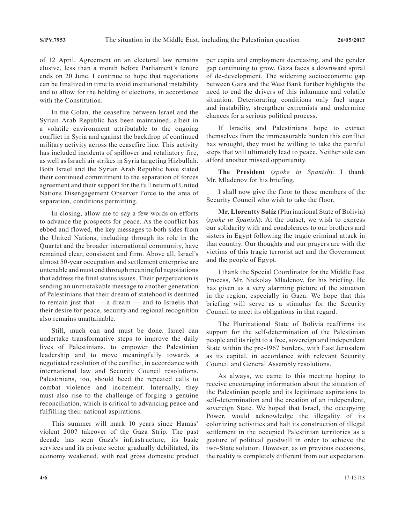of 12 April. Agreement on an electoral law remains elusive, less than a month before Parliament's tenure ends on 20 June. I continue to hope that negotiations can be finalized in time to avoid institutional instability and to allow for the holding of elections, in accordance with the Constitution.

In the Golan, the ceasefire between Israel and the Syrian Arab Republic has been maintained, albeit in a volatile environment attributable to the ongoing conflict in Syria and against the backdrop of continued military activity across the ceasefire line. This activity has included incidents of spillover and retaliatory fire, as well as Israeli air strikes in Syria targeting Hizbullah. Both Israel and the Syrian Arab Republic have stated their continued commitment to the separation of forces agreement and their support for the full return of United Nations Disengagement Observer Force to the area of separation, conditions permitting.

In closing, allow me to say a few words on efforts to advance the prospects for peace. As the conflict has ebbed and flowed, the key messages to both sides from the United Nations, including through its role in the Quartet and the broader international community, have remained clear, consistent and firm. Above all, Israel's almost 50-year occupation and settlement enterprise are untenable and must end through meaningful negotiations that address the final status issues. Their perpetuation is sending an unmistakable message to another generation of Palestinians that their dream of statehood is destined to remain just that — a dream — and to Israelis that their desire for peace, security and regional recognition also remains unattainable.

Still, much can and must be done. Israel can undertake transformative steps to improve the daily lives of Palestinians, to empower the Palestinian leadership and to move meaningfully towards a negotiated resolution of the conflict, in accordance with international law and Security Council resolutions. Palestinians, too, should heed the repeated calls to combat violence and incitement. Internally, they must also rise to the challenge of forging a genuine reconciliation, which is critical to advancing peace and fulfilling their national aspirations.

This summer will mark 10 years since Hamas' violent 2007 takeover of the Gaza Strip. The past decade has seen Gaza's infrastructure, its basic services and its private sector gradually debilitated, its economy weakened, with real gross domestic product per capita and employment decreasing, and the gender gap continuing to grow. Gaza faces a downward spiral of de-development. The widening socioeconomic gap between Gaza and the West Bank further highlights the need to end the drivers of this inhumane and volatile situation. Deteriorating conditions only fuel anger and instability, strengthen extremists and undermine chances for a serious political process.

If Israelis and Palestinians hope to extract themselves from the immeasurable burden this conflict has wrought, they must be willing to take the painful steps that will ultimately lead to peace. Neither side can afford another missed opportunity.

**The President** (*spoke in Spanish*): I thank Mr. Mladenov for his briefing.

I shall now give the floor to those members of the Security Council who wish to take the floor.

**Mr. Llorentty Solíz** (Plurinational State of Bolivia) (*spoke in Spanish*): At the outset, we wish to express our solidarity with and condolences to our brothers and sisters in Egypt following the tragic criminal attack in that country. Our thoughts and our prayers are with the victims of this tragic terrorist act and the Government and the people of Egypt.

I thank the Special Coordinator for the Middle East Process, Mr. Nickolay Mladenov, for his briefing. He has given us a very alarming picture of the situation in the region, especially in Gaza. We hope that this briefing will serve as a stimulus for the Security Council to meet its obligations in that regard.

The Plurinational State of Bolivia reaffirms its support for the self-determination of the Palestinian people and its right to a free, sovereign and independent State within the pre-1967 borders, with East Jerusalem as its capital, in accordance with relevant Security Council and General Assembly resolutions.

As always, we came to this meeting hoping to receive encouraging information about the situation of the Palestinian people and its legitimate aspirations to self-determination and the creation of an independent, sovereign State. We hoped that Israel, the occupying Power, would acknowledge the illegality of its colonizing activities and halt its construction of illegal settlement in the occupied Palestinian territories as a gesture of political goodwill in order to achieve the two-State solution. However, as on previous occasions, the reality is completely different from our expectation.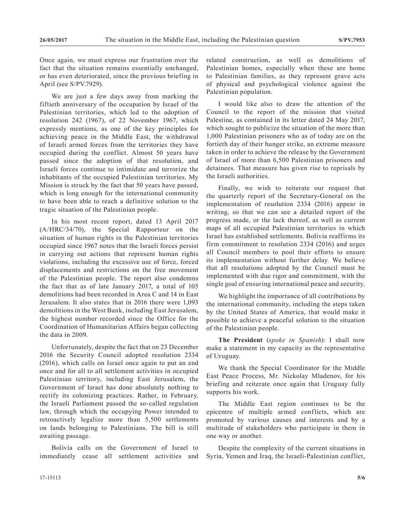Once again, we must express our frustration over the fact that the situation remains essentially unchanged, or has even deteriorated, since the previous briefing in April (see S/PV.7929).

We are just a few days away from marking the fiftieth anniversary of the occupation by Israel of the Palestinian territories, which led to the adoption of resolution 242 (1967), of 22 November 1967, which expressly mentions, as one of the key principles for achieving peace in the Middle East, the withdrawal of Israeli armed forces from the territories they have occupied during the conflict. Almost 50 years have passed since the adoption of that resolution, and Israeli forces continue to intimidate and terrorize the inhabitants of the occupied Palestinian territories. My Mission is struck by the fact that 50 years have passed, which is long enough for the international community to have been able to reach a definitive solution to the tragic situation of the Palestinian people.

In his most recent report, dated 13 April 2017 (A/HRC/34/70), the Special Rapporteur on the situation of human rights in the Palestinian territories occupied since 1967 notes that the Israeli forces persist in carrying out actions that represent human rights violations, including the excessive use of force, forced displacements and restrictions on the free movement of the Palestinian people. The report also condemns the fact that as of late January 2017, a total of 105 demolitions had been recorded in Area C and 14 in East Jerusalem. It also states that in 2016 there were 1,093 demolitions in the West Bank, including East Jerusalem, the highest number recorded since the Office for the Coordination of Humanitarian Affairs began collecting the data in 2009.

Unfortunately, despite the fact that on 23 December 2016 the Security Council adopted resolution 2334 (2016), which calls on Israel once again to put an end once and for all to all settlement activities in occupied Palestinian territory, including East Jerusalem, the Government of Israel has done absolutely nothing to rectify its colonizing practices. Rather, in February, the Israeli Parliament passed the so-called regulation law, through which the occupying Power intended to retroactively legalize more than 5,500 settlements on lands belonging to Palestinians. The bill is still awaiting passage.

Bolivia calls on the Government of Israel to immediately cease all settlement activities and related construction, as well as demolitions of Palestinian homes, especially when these are home to Palestinian families, as they represent grave acts of physical and psychological violence against the Palestinian population.

I would like also to draw the attention of the Council to the report of the mission that visited Palestine, as contained in its letter dated 24 May 2017, which sought to publicize the situation of the more than 1,000 Palestinian prisoners who as of today are on the fortieth day of their hunger strike, an extreme measure taken in order to achieve the release by the Government of Israel of more than 6,500 Palestinian prisoners and detainees. That measure has given rise to reprisals by the Israeli authorities.

Finally, we wish to reiterate our request that the quarterly report of the Secretary-General on the implementation of resolution 2334 (2016) appear in writing, so that we can see a detailed report of the progress made, or the lack thereof, as well as current maps of all occupied Palestinian territories in which Israel has established settlements. Bolivia reaffirms its firm commitment to resolution 2334 (2016) and urges all Council members to pool their efforts to ensure its implementation without further delay. We believe that all resolutions adopted by the Council must be implemented with due rigor and commitment, with the single goal of ensuring international peace and security.

We highlight the importance of all contributions by the international community, including the steps taken by the United States of America, that would make it possible to achieve a peaceful solution to the situation of the Palestinian people.

**The President** (*spoke in Spanish*): I shall now make a statement in my capacity as the representative of Uruguay.

We thank the Special Coordinator for the Middle East Peace Process, Mr. Nickolay Mladenov, for his briefing and reiterate once again that Uruguay fully supports his work.

The Middle East region continues to be the epicentre of multiple armed conflicts, which are promoted by various causes and interests and by a multitude of stakeholders who participate in them in one way or another.

Despite the complexity of the current situations in Syria, Yemen and Iraq, the Israeli-Palestinian conflict,